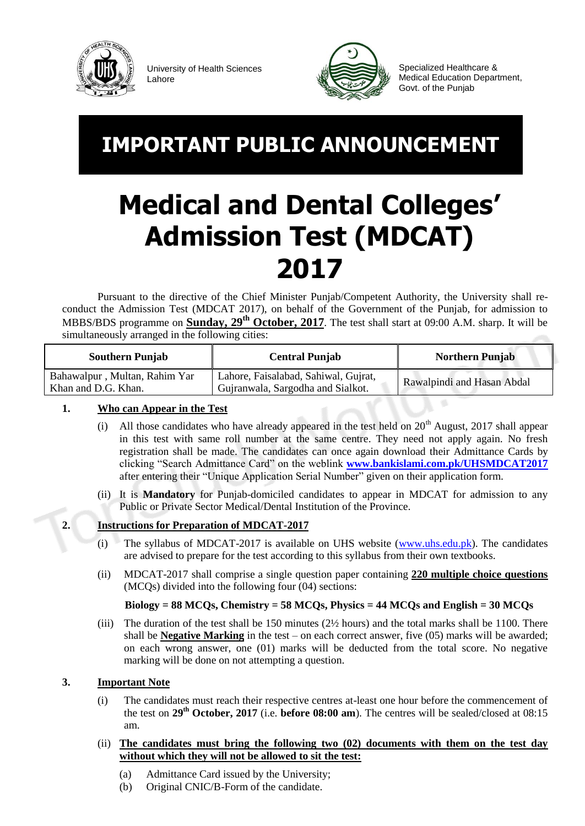

University of Health Sciences Lahore



Specialized Healthcare & Medical Education Department, Govt. of the Punjab

# **IMPORTANT PUBLIC ANNOUNCEMENT**

# **Medical and Dental Colleges' Admission Test (MDCAT) 2017**

Pursuant to the directive of the Chief Minister Punjab/Competent Authority, the University shall reconduct the Admission Test (MDCAT 2017), on behalf of the Government of the Punjab, for admission to MBBS/BDS programme on **Sunday, 29<sup>th</sup> October, 2017**. The test shall start at 09:00 A.M. sharp. It will be simultaneously arranged in the following cities:

| <b>Southern Punjab</b>                               | <b>Central Punjab</b>                                                     | <b>Northern Punjab</b>     |
|------------------------------------------------------|---------------------------------------------------------------------------|----------------------------|
| Bahawalpur, Multan, Rahim Yar<br>Khan and D.G. Khan. | Lahore, Faisalabad, Sahiwal, Gujrat,<br>Gujranwala, Sargodha and Sialkot. | Rawalpindi and Hasan Abdal |

## **1. Who can Appear in the Test**

- (i) All those candidates who have already appeared in the test held on  $20<sup>th</sup>$  August, 2017 shall appear in this test with same roll number at the same centre. They need not apply again. No fresh registration shall be made. The candidates can once again download their Admittance Cards by clicking "Search Admittance Card" on the weblink **[www.bankislami.com.pk/UHSMDCAT2017](http://www.bankislami.com.pk/UHSMDCAT2017)** after entering their "Unique Application Serial Number" given on their application form.
- (ii) It is **Mandatory** for Punjab-domiciled candidates to appear in MDCAT for admission to any Public or Private Sector Medical/Dental Institution of the Province.

# **2. Instructions for Preparation of MDCAT-2017**

- (i) The syllabus of MDCAT-2017 is available on UHS website [\(www.uhs.edu.pk\)](http://www.uhs.edu.pk/). The candidates are advised to prepare for the test according to this syllabus from their own textbooks.
- (ii) MDCAT-2017 shall comprise a single question paper containing **220 multiple choice questions** (MCQs) divided into the following four (04) sections:

### **Biology = 88 MCQs, Chemistry = 58 MCQs, Physics = 44 MCQs and English = 30 MCQs**

(iii) The duration of the test shall be 150 minutes (2½ hours) and the total marks shall be 1100. There shall be **Negative Marking** in the test – on each correct answer, five (05) marks will be awarded; on each wrong answer, one (01) marks will be deducted from the total score. No negative marking will be done on not attempting a question.

### **3. Important Note**

- (i) The candidates must reach their respective centres at-least one hour before the commencement of the test on **29 th October, 2017** (i.e. **before 08:00 am**). The centres will be sealed/closed at 08:15 am.
- (ii) **The candidates must bring the following two (02) documents with them on the test day without which they will not be allowed to sit the test:**
	- (a) Admittance Card issued by the University;
	- (b) Original CNIC/B-Form of the candidate.